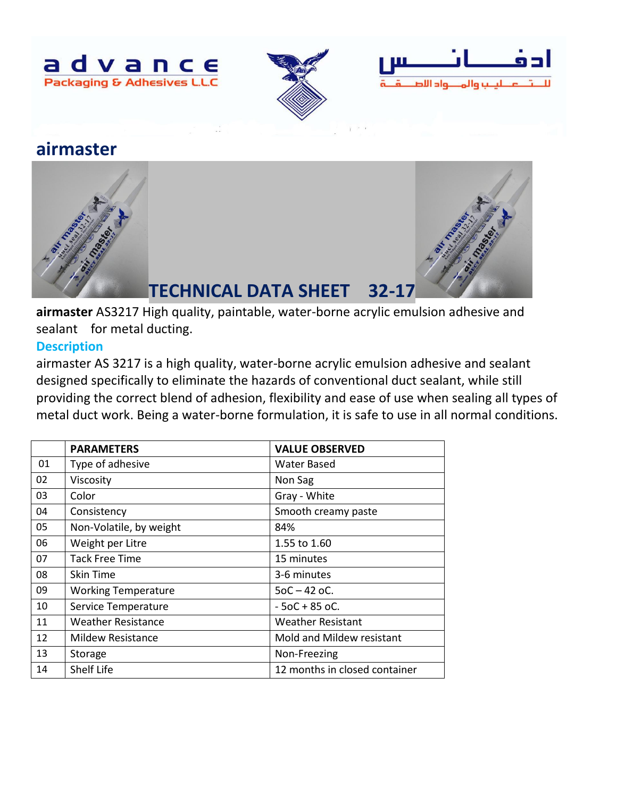





# **airmaster**



**airmaster** AS3217 High quality, paintable, water-borne acrylic emulsion adhesive and sealant for metal ducting.

## **Description**

airmaster AS 3217 is a high quality, water-borne acrylic emulsion adhesive and sealant designed specifically to eliminate the hazards of conventional duct sealant, while still providing the correct blend of adhesion, flexibility and ease of use when sealing all types of metal duct work. Being a water-borne formulation, it is safe to use in all normal conditions.

|    | <b>PARAMETERS</b>          | <b>VALUE OBSERVED</b>         |
|----|----------------------------|-------------------------------|
| 01 | Type of adhesive           | <b>Water Based</b>            |
| 02 | Viscosity                  | Non Sag                       |
| 03 | Color                      | Gray - White                  |
| 04 | Consistency                | Smooth creamy paste           |
| 05 | Non-Volatile, by weight    | 84%                           |
| 06 | Weight per Litre           | 1.55 to 1.60                  |
| 07 | <b>Tack Free Time</b>      | 15 minutes                    |
| 08 | <b>Skin Time</b>           | 3-6 minutes                   |
| 09 | <b>Working Temperature</b> | $50C - 42$ oC.                |
| 10 | Service Temperature        | $-50C + 850C$ .               |
| 11 | <b>Weather Resistance</b>  | <b>Weather Resistant</b>      |
| 12 | <b>Mildew Resistance</b>   | Mold and Mildew resistant     |
| 13 | Storage                    | Non-Freezing                  |
| 14 | Shelf Life                 | 12 months in closed container |